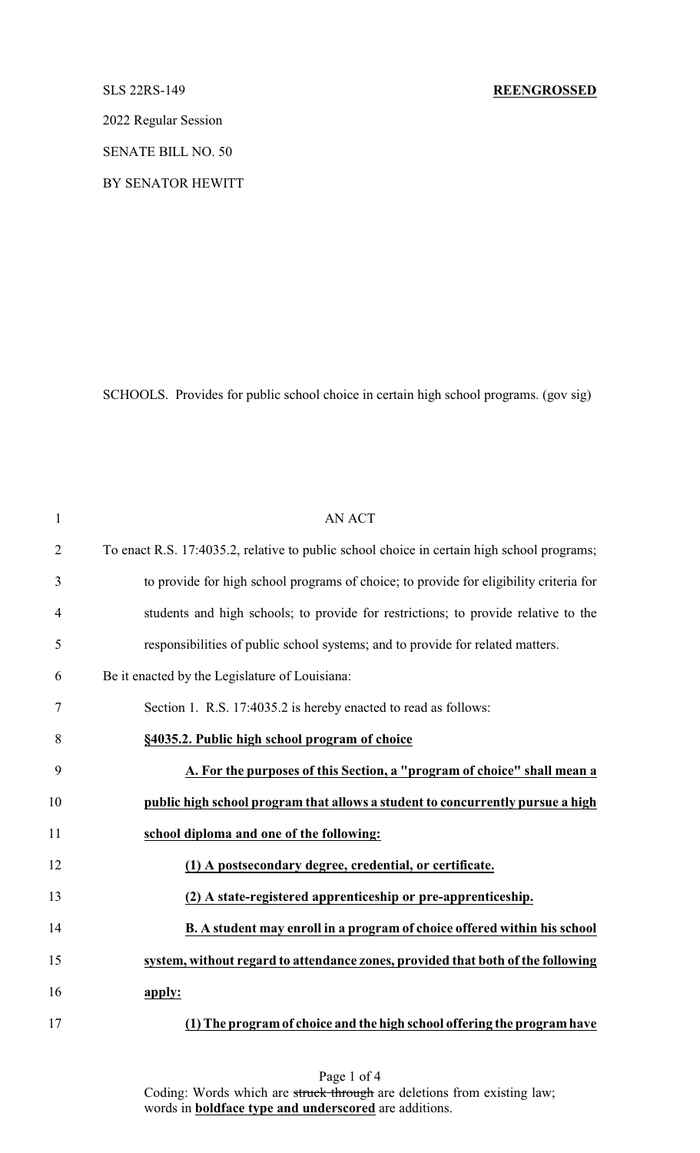2022 Regular Session

SENATE BILL NO. 50

BY SENATOR HEWITT

SCHOOLS. Provides for public school choice in certain high school programs. (gov sig)

| $\mathbf{1}$   | <b>AN ACT</b>                                                                              |
|----------------|--------------------------------------------------------------------------------------------|
| $\overline{2}$ | To enact R.S. 17:4035.2, relative to public school choice in certain high school programs; |
| 3              | to provide for high school programs of choice; to provide for eligibility criteria for     |
| $\overline{4}$ | students and high schools; to provide for restrictions; to provide relative to the         |
| 5              | responsibilities of public school systems; and to provide for related matters.             |
| 6              | Be it enacted by the Legislature of Louisiana:                                             |
| 7              | Section 1. R.S. 17:4035.2 is hereby enacted to read as follows:                            |
| 8              | §4035.2. Public high school program of choice                                              |
| 9              | A. For the purposes of this Section, a "program of choice" shall mean a                    |
| 10             | public high school program that allows a student to concurrently pursue a high             |
| 11             | school diploma and one of the following:                                                   |
| 12             | (1) A postsecondary degree, credential, or certificate.                                    |
| 13             | (2) A state-registered apprenticeship or pre-apprenticeship.                               |
| 14             | B. A student may enroll in a program of choice offered within his school                   |
| 15             | system, without regard to attendance zones, provided that both of the following            |
| 16             | apply:                                                                                     |
| 17             | (1) The program of choice and the high school offering the program have                    |

Page 1 of 4 Coding: Words which are struck through are deletions from existing law; words in **boldface type and underscored** are additions.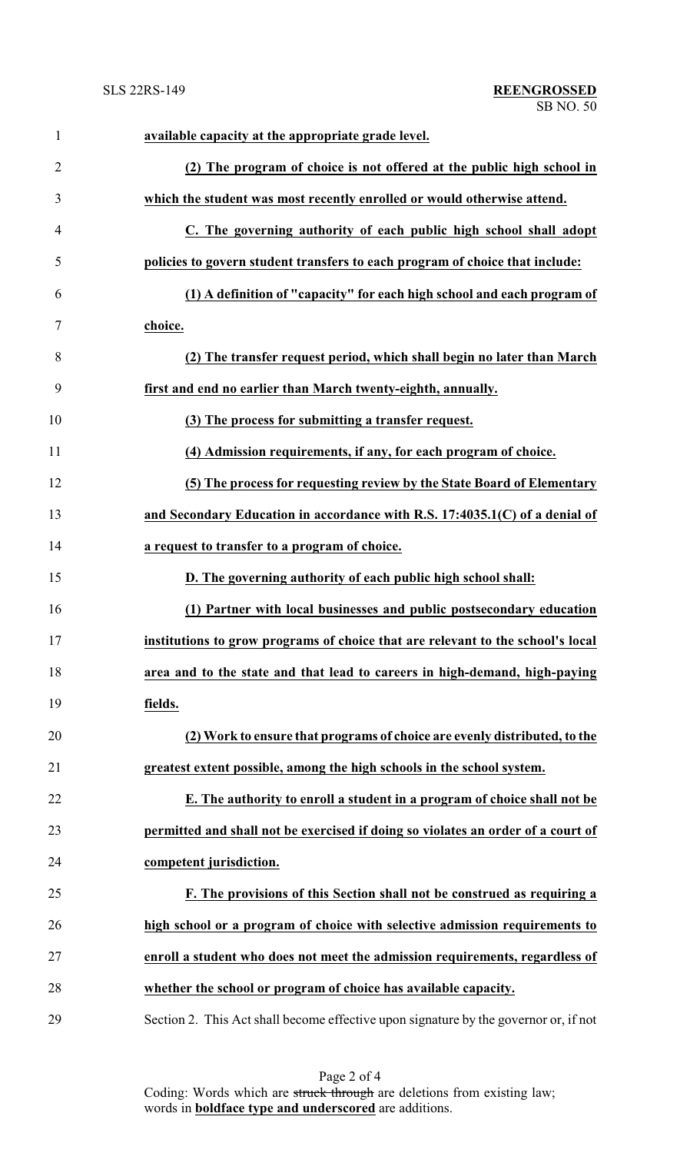| $\mathbf{1}$   | available capacity at the appropriate grade level.                                   |
|----------------|--------------------------------------------------------------------------------------|
| $\overline{2}$ | (2) The program of choice is not offered at the public high school in                |
| 3              | which the student was most recently enrolled or would otherwise attend.              |
| 4              | C. The governing authority of each public high school shall adopt                    |
| 5              | policies to govern student transfers to each program of choice that include:         |
| 6              | (1) A definition of "capacity" for each high school and each program of              |
| 7              | choice.                                                                              |
| 8              | (2) The transfer request period, which shall begin no later than March               |
| 9              | first and end no earlier than March twenty-eighth, annually.                         |
| 10             | (3) The process for submitting a transfer request.                                   |
| 11             | (4) Admission requirements, if any, for each program of choice.                      |
| 12             | (5) The process for requesting review by the State Board of Elementary               |
| 13             | and Secondary Education in accordance with R.S. 17:4035.1(C) of a denial of          |
| 14             | a request to transfer to a program of choice.                                        |
| 15             | D. The governing authority of each public high school shall:                         |
| 16             | (1) Partner with local businesses and public postsecondary education                 |
| 17             | institutions to grow programs of choice that are relevant to the school's local      |
| 18             | area and to the state and that lead to careers in high-demand, high-paying           |
| 19             | fields.                                                                              |
| 20             | (2) Work to ensure that programs of choice are evenly distributed, to the            |
| 21             | greatest extent possible, among the high schools in the school system.               |
| 22             | E. The authority to enroll a student in a program of choice shall not be             |
| 23             | permitted and shall not be exercised if doing so violates an order of a court of     |
| 24             | competent jurisdiction.                                                              |
| 25             | F. The provisions of this Section shall not be construed as requiring a              |
| 26             | high school or a program of choice with selective admission requirements to          |
| 27             | enroll a student who does not meet the admission requirements, regardless of         |
| 28             | whether the school or program of choice has available capacity.                      |
| 29             | Section 2. This Act shall become effective upon signature by the governor or, if not |

Page 2 of 4 Coding: Words which are struck through are deletions from existing law; words in **boldface type and underscored** are additions.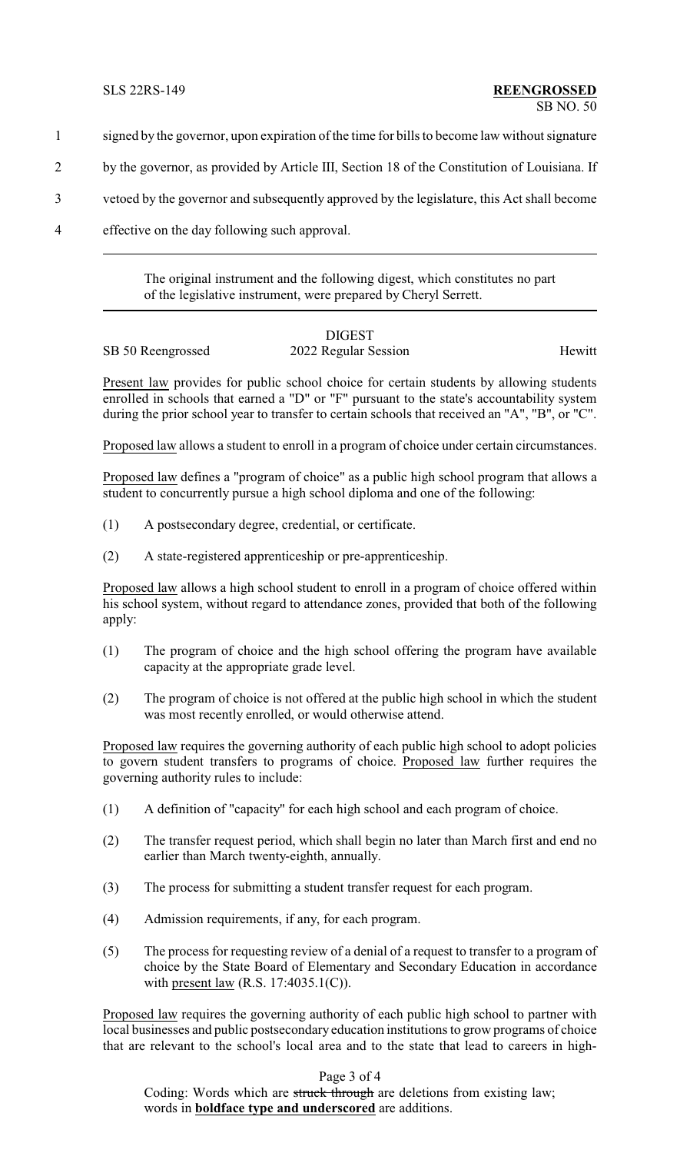- 1 signed by the governor, upon expiration of the time for bills to become law without signature
- 2 by the governor, as provided by Article III, Section 18 of the Constitution of Louisiana. If
- 3 vetoed by the governor and subsequently approved by the legislature, this Act shall become
- 4 effective on the day following such approval.

The original instrument and the following digest, which constitutes no part of the legislative instrument, were prepared by Cheryl Serrett.

## DIGEST

## SB 50 Reengrossed 2022 Regular Session Hewitt

Present law provides for public school choice for certain students by allowing students enrolled in schools that earned a "D" or "F" pursuant to the state's accountability system during the prior school year to transfer to certain schools that received an "A", "B", or "C".

Proposed law allows a student to enroll in a program of choice under certain circumstances.

Proposed law defines a "program of choice" as a public high school program that allows a student to concurrently pursue a high school diploma and one of the following:

- (1) A postsecondary degree, credential, or certificate.
- (2) A state-registered apprenticeship or pre-apprenticeship.

Proposed law allows a high school student to enroll in a program of choice offered within his school system, without regard to attendance zones, provided that both of the following apply:

- (1) The program of choice and the high school offering the program have available capacity at the appropriate grade level.
- (2) The program of choice is not offered at the public high school in which the student was most recently enrolled, or would otherwise attend.

Proposed law requires the governing authority of each public high school to adopt policies to govern student transfers to programs of choice. Proposed law further requires the governing authority rules to include:

- (1) A definition of "capacity" for each high school and each program of choice.
- (2) The transfer request period, which shall begin no later than March first and end no earlier than March twenty-eighth, annually.
- (3) The process for submitting a student transfer request for each program.
- (4) Admission requirements, if any, for each program.
- (5) The process for requesting review of a denial of a request to transfer to a program of choice by the State Board of Elementary and Secondary Education in accordance with present law (R.S. 17:4035.1(C)).

Proposed law requires the governing authority of each public high school to partner with local businesses and public postsecondary education institutions to grow programs of choice that are relevant to the school's local area and to the state that lead to careers in high-

Page 3 of 4

Coding: Words which are struck through are deletions from existing law; words in **boldface type and underscored** are additions.